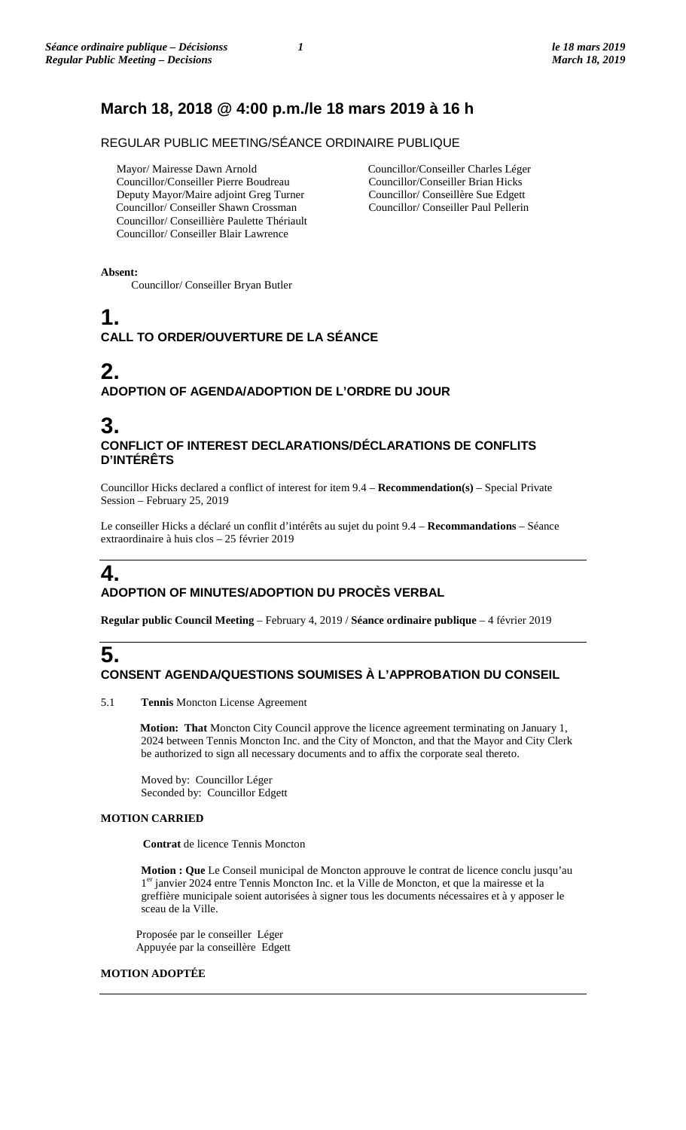# **March 18, 2018 @ 4:00 p.m./le 18 mars 2019 à 16 h**

REGULAR PUBLIC MEETING/SÉANCE ORDINAIRE PUBLIQUE

 Mayor/ Mairesse Dawn Arnold Councillor/Conseiller Pierre Boudreau Deputy Mayor/Maire adjoint Greg Turner Councillor/ Conseiller Shawn Crossman Councillor/ Conseillière Paulette Thériault Councillor/ Conseiller Blair Lawrence

Councillor/Conseiller Charles Léger Councillor/Conseiller Brian Hicks Councillor/ Conseillère Sue Edgett Councillor/ Conseiller Paul Pellerin

# **Absent:**

Councillor/ Conseiller Bryan Butler

# **1. CALL TO ORDER/OUVERTURE DE LA SÉANCE**

# **2. ADOPTION OF AGENDA/ADOPTION DE L'ORDRE DU JOUR**

# **3.**

# **CONFLICT OF INTEREST DECLARATIONS/DÉCLARATIONS DE CONFLITS D'INTÉRÊTS**

Councillor Hicks declared a conflict of interest for item 9.4 – **Recommendation(s)** – Special Private Session – February 25, 2019

Le conseiller Hicks a déclaré un conflit d'intérêts au sujet du point 9.4 – **Recommandations** – Séance extraordinaire à huis clos – 25 février 2019

# **4. ADOPTION OF MINUTES/ADOPTION DU PROCÈS VERBAL**

**Regular public Council Meeting** – February 4, 2019 / **Séance ordinaire publique** – 4 février 2019

# **5. CONSENT AGENDA/QUESTIONS SOUMISES À L'APPROBATION DU CONSEIL**

5.1 **Tennis** Moncton License Agreement

 **Motion: That** Moncton City Council approve the licence agreement terminating on January 1, 2024 between Tennis Moncton Inc. and the City of Moncton, and that the Mayor and City Clerk be authorized to sign all necessary documents and to affix the corporate seal thereto.

Moved by: Councillor Léger Seconded by: Councillor Edgett

# **MOTION CARRIED**

**Contrat** de licence Tennis Moncton

**Motion : Que** Le Conseil municipal de Moncton approuve le contrat de licence conclu jusqu'au 1<sup>er</sup> janvier 2024 entre Tennis Moncton Inc. et la Ville de Moncton, et que la mairesse et la greffière municipale soient autorisées à signer tous les documents nécessaires et à y apposer le sceau de la Ville.

Proposée par le conseiller Léger Appuyée par la conseillère Edgett

# **MOTION ADOPTÉE**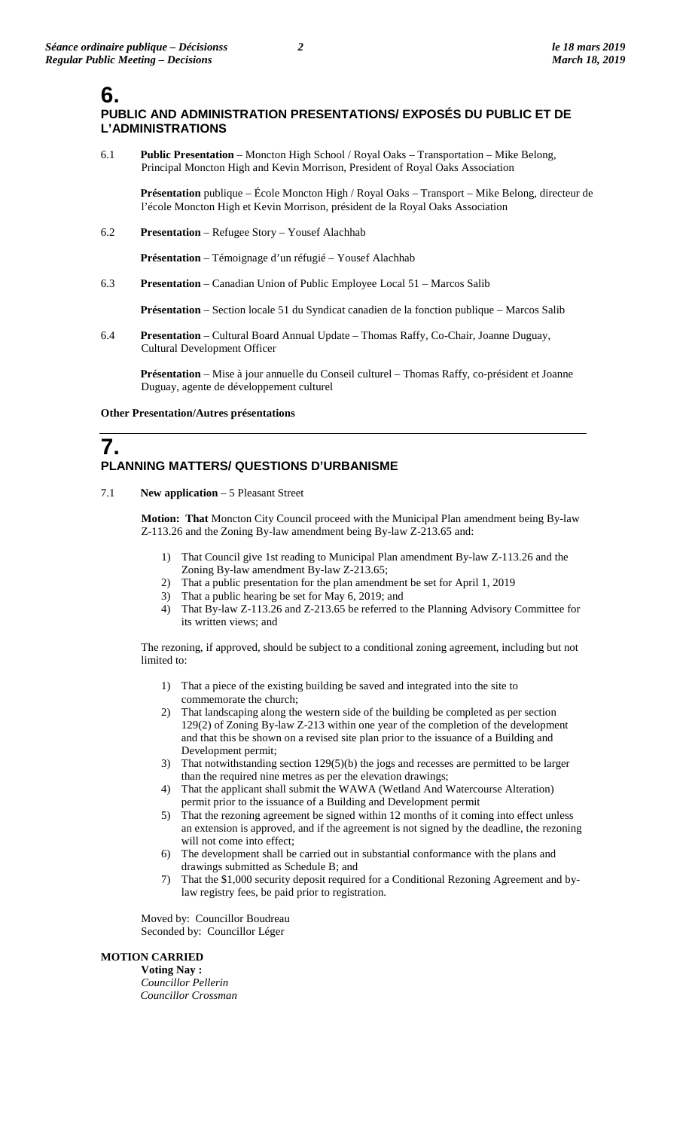# **6. PUBLIC AND ADMINISTRATION PRESENTATIONS/ EXPOSÉS DU PUBLIC ET DE L'ADMINISTRATIONS**

6.1 **Public Presentation** – Moncton High School / Royal Oaks – Transportation – Mike Belong, Principal Moncton High and Kevin Morrison, President of Royal Oaks Association

**Présentation** publique – École Moncton High / Royal Oaks – Transport – Mike Belong, directeur de l'école Moncton High et Kevin Morrison, président de la Royal Oaks Association

6.2 **Presentation** – Refugee Story – Yousef Alachhab

**Présentation** – Témoignage d'un réfugié – Yousef Alachhab

6.3 **Presentation** – Canadian Union of Public Employee Local 51 – Marcos Salib

**Présentation** – Section locale 51 du Syndicat canadien de la fonction publique – Marcos Salib

6.4 **Presentation** – Cultural Board Annual Update – Thomas Raffy, Co-Chair, Joanne Duguay, Cultural Development Officer

**Présentation** – Mise à jour annuelle du Conseil culturel – Thomas Raffy, co-président et Joanne Duguay, agente de développement culturel

**Other Presentation/Autres présentations**

# **7. PLANNING MATTERS/ QUESTIONS D'URBANISME**

## 7.1 **New application** – 5 Pleasant Street

**Motion: That** Moncton City Council proceed with the Municipal Plan amendment being By-law Z-113.26 and the Zoning By-law amendment being By-law Z-213.65 and:

- 1) That Council give 1st reading to Municipal Plan amendment By-law Z-113.26 and the Zoning By-law amendment By-law Z-213.65;
- 2) That a public presentation for the plan amendment be set for April 1, 2019
- 3) That a public hearing be set for May 6, 2019; and
- 4) That By-law Z-113.26 and Z-213.65 be referred to the Planning Advisory Committee for its written views; and

The rezoning, if approved, should be subject to a conditional zoning agreement, including but not limited to:

- 1) That a piece of the existing building be saved and integrated into the site to commemorate the church;
- 2) That landscaping along the western side of the building be completed as per section 129(2) of Zoning By-law Z-213 within one year of the completion of the development and that this be shown on a revised site plan prior to the issuance of a Building and Development permit;
- 3) That notwithstanding section 129(5)(b) the jogs and recesses are permitted to be larger than the required nine metres as per the elevation drawings;
- 4) That the applicant shall submit the WAWA (Wetland And Watercourse Alteration) permit prior to the issuance of a Building and Development permit
- 5) That the rezoning agreement be signed within 12 months of it coming into effect unless an extension is approved, and if the agreement is not signed by the deadline, the rezoning will not come into effect;
- 6) The development shall be carried out in substantial conformance with the plans and drawings submitted as Schedule B; and
- 7) That the \$1,000 security deposit required for a Conditional Rezoning Agreement and bylaw registry fees, be paid prior to registration.

Moved by: Councillor Boudreau Seconded by: Councillor Léger

## **MOTION CARRIED**

**Voting Nay :** *Councillor Pellerin Councillor Crossman*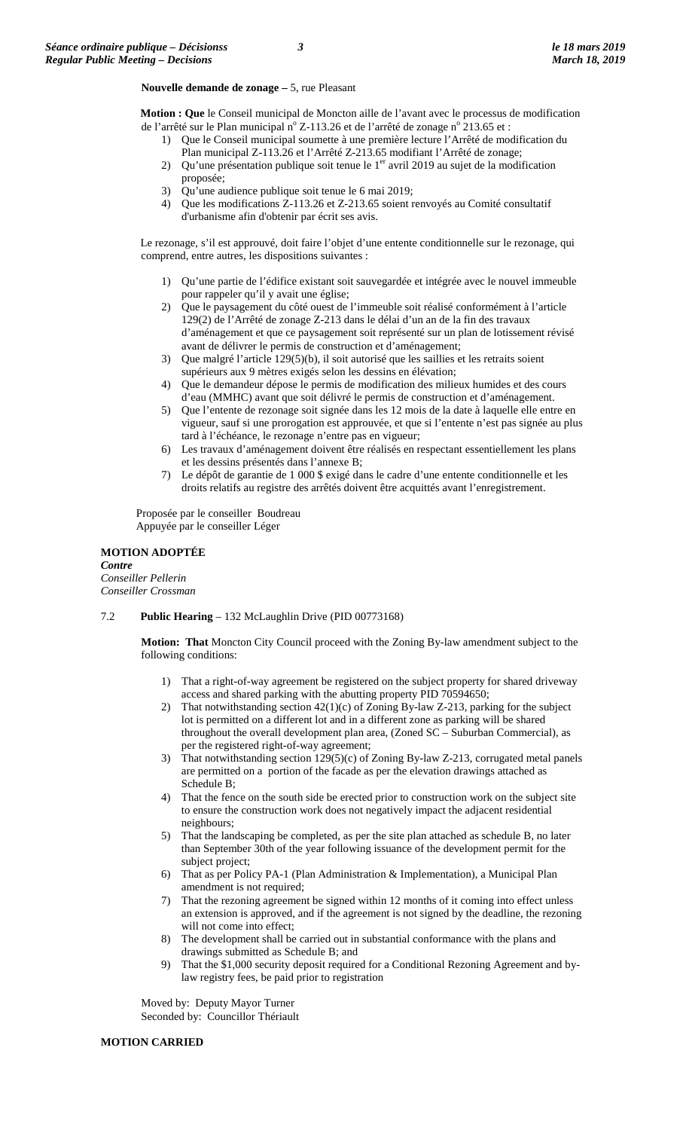#### **Nouvelle demande de zonage –** 5, rue Pleasant

**Motion : Que** le Conseil municipal de Moncton aille de l'avant avec le processus de modification de l'arrêté sur le Plan municipal n° Z-113.26 et de l'arrêté de zonage n° 213.65 et :

- 1) Que le Conseil municipal soumette à une première lecture l'Arrêté de modification du Plan municipal Z-113.26 et l'Arrêté Z-213.65 modifiant l'Arrêté de zonage;
- 2) Qu'une présentation publique soit tenue le  $1<sup>er</sup>$  avril 2019 au sujet de la modification proposée;
- 3) Qu'une audience publique soit tenue le 6 mai 2019;
- 4) Que les modifications Z-113.26 et Z-213.65 soient renvoyés au Comité consultatif d'urbanisme afin d'obtenir par écrit ses avis.

Le rezonage, s'il est approuvé, doit faire l'objet d'une entente conditionnelle sur le rezonage, qui comprend, entre autres, les dispositions suivantes :

- 1) Qu'une partie de l'édifice existant soit sauvegardée et intégrée avec le nouvel immeuble pour rappeler qu'il y avait une église;
- 2) Que le paysagement du côté ouest de l'immeuble soit réalisé conformément à l'article 129(2) de l'Arrêté de zonage Z-213 dans le délai d'un an de la fin des travaux d'aménagement et que ce paysagement soit représenté sur un plan de lotissement révisé avant de délivrer le permis de construction et d'aménagement;
- 3) Que malgré l'article 129(5)(b), il soit autorisé que les saillies et les retraits soient supérieurs aux 9 mètres exigés selon les dessins en élévation;
- 4) Que le demandeur dépose le permis de modification des milieux humides et des cours d'eau (MMHC) avant que soit délivré le permis de construction et d'aménagement.
- 5) Que l'entente de rezonage soit signée dans les 12 mois de la date à laquelle elle entre en vigueur, sauf si une prorogation est approuvée, et que si l'entente n'est pas signée au plus tard à l'échéance, le rezonage n'entre pas en vigueur;
- 6) Les travaux d'aménagement doivent être réalisés en respectant essentiellement les plans et les dessins présentés dans l'annexe B;
- 7) Le dépôt de garantie de 1 000 \$ exigé dans le cadre d'une entente conditionnelle et les droits relatifs au registre des arrêtés doivent être acquittés avant l'enregistrement.

Proposée par le conseiller Boudreau Appuyée par le conseiller Léger

**MOTION ADOPTÉE** *Contre Conseiller Pellerin Conseiller Crossman*

## 7.2 **Public Hearing** – 132 McLaughlin Drive (PID 00773168)

**Motion: That** Moncton City Council proceed with the Zoning By-law amendment subject to the following conditions:

- 1) That a right-of-way agreement be registered on the subject property for shared driveway access and shared parking with the abutting property PID 70594650;
- 2) That notwithstanding section 42(1)(c) of Zoning By-law Z-213, parking for the subject lot is permitted on a different lot and in a different zone as parking will be shared throughout the overall development plan area, (Zoned SC – Suburban Commercial), as per the registered right-of-way agreement;
- 3) That notwithstanding section  $12\frac{9}{5}$ (c) of Zoning By-law Z-213, corrugated metal panels are permitted on a portion of the facade as per the elevation drawings attached as Schedule B;
- 4) That the fence on the south side be erected prior to construction work on the subject site to ensure the construction work does not negatively impact the adjacent residential neighbours;
- 5) That the landscaping be completed, as per the site plan attached as schedule B, no later than September 30th of the year following issuance of the development permit for the subject project;
- 6) That as per Policy PA-1 (Plan Administration & Implementation), a Municipal Plan amendment is not required;
- 7) That the rezoning agreement be signed within 12 months of it coming into effect unless an extension is approved, and if the agreement is not signed by the deadline, the rezoning will not come into effect;
- 8) The development shall be carried out in substantial conformance with the plans and drawings submitted as Schedule B; and
- 9) That the \$1,000 security deposit required for a Conditional Rezoning Agreement and bylaw registry fees, be paid prior to registration

Moved by: Deputy Mayor Turner Seconded by: Councillor Thériault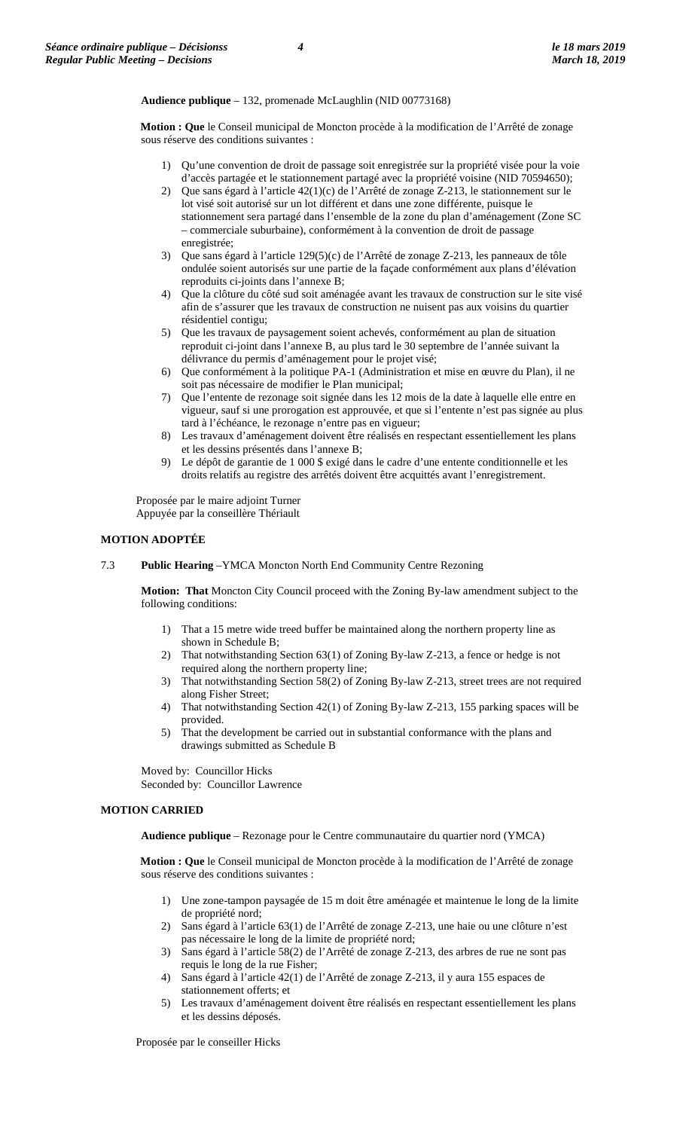#### **Audience publique** – 132, promenade McLaughlin (NID 00773168)

**Motion : Que** le Conseil municipal de Moncton procède à la modification de l'Arrêté de zonage sous réserve des conditions suivantes :

- 1) Qu'une convention de droit de passage soit enregistrée sur la propriété visée pour la voie d'accès partagée et le stationnement partagé avec la propriété voisine (NID 70594650);
- 2) Que sans égard à l'article 42(1)(c) de l'Arrêté de zonage Z-213, le stationnement sur le lot visé soit autorisé sur un lot différent et dans une zone différente, puisque le stationnement sera partagé dans l'ensemble de la zone du plan d'aménagement (Zone SC – commerciale suburbaine), conformément à la convention de droit de passage enregistrée;
- 3) Que sans égard à l'article 129(5)(c) de l'Arrêté de zonage Z-213, les panneaux de tôle ondulée soient autorisés sur une partie de la façade conformément aux plans d'élévation reproduits ci-joints dans l'annexe B;
- 4) Que la clôture du côté sud soit aménagée avant les travaux de construction sur le site visé afin de s'assurer que les travaux de construction ne nuisent pas aux voisins du quartier résidentiel contigu;
- 5) Que les travaux de paysagement soient achevés, conformément au plan de situation reproduit ci-joint dans l'annexe B, au plus tard le 30 septembre de l'année suivant la délivrance du permis d'aménagement pour le projet visé;
- 6) Que conformément à la politique PA-1 (Administration et mise en œuvre du Plan), il ne soit pas nécessaire de modifier le Plan municipal;
- 7) Que l'entente de rezonage soit signée dans les 12 mois de la date à laquelle elle entre en vigueur, sauf si une prorogation est approuvée, et que si l'entente n'est pas signée au plus tard à l'échéance, le rezonage n'entre pas en vigueur;
- 8) Les travaux d'aménagement doivent être réalisés en respectant essentiellement les plans et les dessins présentés dans l'annexe B;
- 9) Le dépôt de garantie de 1 000 \$ exigé dans le cadre d'une entente conditionnelle et les droits relatifs au registre des arrêtés doivent être acquittés avant l'enregistrement.

Proposée par le maire adjoint Turner Appuyée par la conseillère Thériault

#### **MOTION ADOPTÉE**

7.3 **Public Hearing** –YMCA Moncton North End Community Centre Rezoning

**Motion: That** Moncton City Council proceed with the Zoning By-law amendment subject to the following conditions:

- 1) That a 15 metre wide treed buffer be maintained along the northern property line as shown in Schedule B;
- 2) That notwithstanding Section 63(1) of Zoning By-law Z-213, a fence or hedge is not required along the northern property line;
- 3) That notwithstanding Section 58(2) of Zoning By-law Z-213, street trees are not required along Fisher Street;
- 4) That notwithstanding Section 42(1) of Zoning By-law Z-213, 155 parking spaces will be provided.
- 5) That the development be carried out in substantial conformance with the plans and drawings submitted as Schedule B

Moved by: Councillor Hicks Seconded by: Councillor Lawrence

## **MOTION CARRIED**

**Audience publique** – Rezonage pour le Centre communautaire du quartier nord (YMCA)

**Motion : Que** le Conseil municipal de Moncton procède à la modification de l'Arrêté de zonage sous réserve des conditions suivantes :

- 1) Une zone-tampon paysagée de 15 m doit être aménagée et maintenue le long de la limite de propriété nord;
- 2) Sans égard à l'article 63(1) de l'Arrêté de zonage Z-213, une haie ou une clôture n'est pas nécessaire le long de la limite de propriété nord;
- 3) Sans égard à l'article 58(2) de l'Arrêté de zonage Z-213, des arbres de rue ne sont pas requis le long de la rue Fisher;
- 4) Sans égard à l'article 42(1) de l'Arrêté de zonage Z-213, il y aura 155 espaces de stationnement offerts; et
- 5) Les travaux d'aménagement doivent être réalisés en respectant essentiellement les plans et les dessins déposés.

Proposée par le conseiller Hicks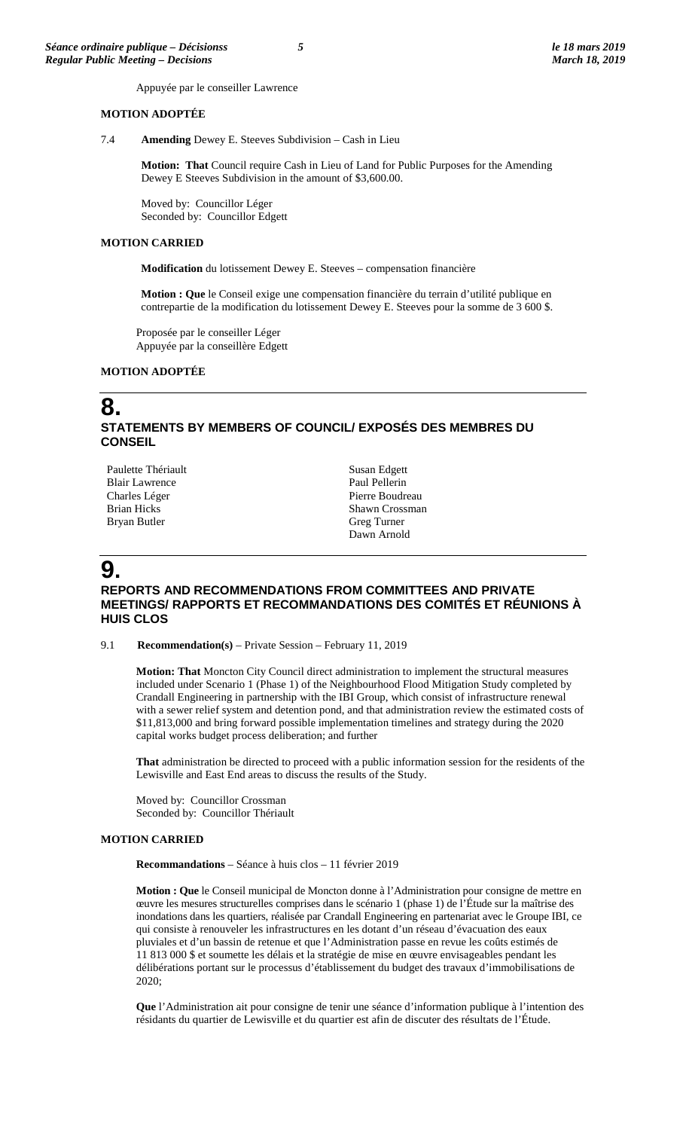Appuyée par le conseiller Lawrence

#### **MOTION ADOPTÉE**

7.4 **Amending** Dewey E. Steeves Subdivision – Cash in Lieu

**Motion: That** Council require Cash in Lieu of Land for Public Purposes for the Amending Dewey E Steeves Subdivision in the amount of \$3,600.00.

Moved by: Councillor Léger Seconded by: Councillor Edgett

#### **MOTION CARRIED**

**Modification** du lotissement Dewey E. Steeves – compensation financière

**Motion : Que** le Conseil exige une compensation financière du terrain d'utilité publique en contrepartie de la modification du lotissement Dewey E. Steeves pour la somme de 3 600 \$.

Proposée par le conseiller Léger Appuyée par la conseillère Edgett

# **MOTION ADOPTÉE**

# **8. STATEMENTS BY MEMBERS OF COUNCIL/ EXPOSÉS DES MEMBRES DU CONSEIL**

Paulette Thériault Blair Lawrence Charles Léger Brian Hicks Bryan Butler

Susan Edgett Paul Pellerin Pierre Boudreau Shawn Crossman Greg Turner Dawn Arnold

# **9.**

# **REPORTS AND RECOMMENDATIONS FROM COMMITTEES AND PRIVATE MEETINGS/ RAPPORTS ET RECOMMANDATIONS DES COMITÉS ET RÉUNIONS À HUIS CLOS**

## 9.1 **Recommendation(s)** – Private Session – February 11, 2019

**Motion: That** Moncton City Council direct administration to implement the structural measures included under Scenario 1 (Phase 1) of the Neighbourhood Flood Mitigation Study completed by Crandall Engineering in partnership with the IBI Group, which consist of infrastructure renewal with a sewer relief system and detention pond, and that administration review the estimated costs of \$11,813,000 and bring forward possible implementation timelines and strategy during the 2020 capital works budget process deliberation; and further

**That** administration be directed to proceed with a public information session for the residents of the Lewisville and East End areas to discuss the results of the Study.

Moved by: Councillor Crossman Seconded by: Councillor Thériault

#### **MOTION CARRIED**

**Recommandations** – Séance à huis clos – 11 février 2019

**Motion : Que** le Conseil municipal de Moncton donne à l'Administration pour consigne de mettre en œuvre les mesures structurelles comprises dans le scénario 1 (phase 1) de l'Étude sur la maîtrise des inondations dans les quartiers, réalisée par Crandall Engineering en partenariat avec le Groupe IBI, ce qui consiste à renouveler les infrastructures en les dotant d'un réseau d'évacuation des eaux pluviales et d'un bassin de retenue et que l'Administration passe en revue les coûts estimés de 11 813 000 \$ et soumette les délais et la stratégie de mise en œuvre envisageables pendant les délibérations portant sur le processus d'établissement du budget des travaux d'immobilisations de 2020;

**Que** l'Administration ait pour consigne de tenir une séance d'information publique à l'intention des résidants du quartier de Lewisville et du quartier est afin de discuter des résultats de l'Étude.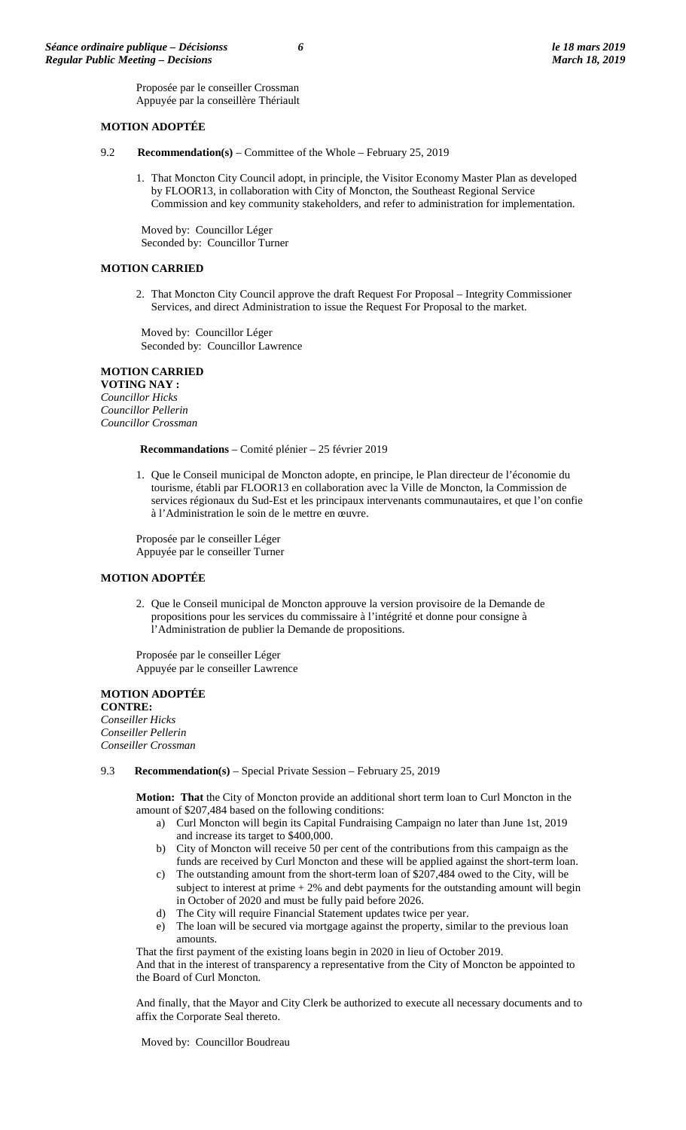Proposée par le conseiller Crossman Appuyée par la conseillère Thériault

# **MOTION ADOPTÉE**

- 9.2 **Recommendation(s)** Committee of the Whole February 25, 2019
	- 1. That Moncton City Council adopt, in principle, the Visitor Economy Master Plan as developed by FLOOR13, in collaboration with City of Moncton, the Southeast Regional Service Commission and key community stakeholders, and refer to administration for implementation.

Moved by: Councillor Léger Seconded by: Councillor Turner

# **MOTION CARRIED**

2. That Moncton City Council approve the draft Request For Proposal – Integrity Commissioner Services, and direct Administration to issue the Request For Proposal to the market.

Moved by: Councillor Léger Seconded by: Councillor Lawrence

# **MOTION CARRIED**

**VOTING NAY :**  *Councillor Hicks Councillor Pellerin Councillor Crossman*

 **Recommandations** – Comité plénier – 25 février 2019

1. Que le Conseil municipal de Moncton adopte, en principe, le Plan directeur de l'économie du tourisme, établi par FLOOR13 en collaboration avec la Ville de Moncton, la Commission de services régionaux du Sud-Est et les principaux intervenants communautaires, et que l'on confie à l'Administration le soin de le mettre en œuvre.

Proposée par le conseiller Léger Appuyée par le conseiller Turner

#### **MOTION ADOPTÉE**

2. Que le Conseil municipal de Moncton approuve la version provisoire de la Demande de propositions pour les services du commissaire à l'intégrité et donne pour consigne à l'Administration de publier la Demande de propositions.

Proposée par le conseiller Léger Appuyée par le conseiller Lawrence

# **MOTION ADOPTÉE**

**CONTRE:** *Conseiller Hicks Conseiller Pellerin Conseiller Crossman*

#### 9.3 **Recommendation(s)** – Special Private Session – February 25, 2019

**Motion: That** the City of Moncton provide an additional short term loan to Curl Moncton in the amount of \$207,484 based on the following conditions:

- a) Curl Moncton will begin its Capital Fundraising Campaign no later than June 1st, 2019 and increase its target to \$400,000.
- b) City of Moncton will receive 50 per cent of the contributions from this campaign as the funds are received by Curl Moncton and these will be applied against the short-term loan.
- c) The outstanding amount from the short-term loan of \$207,484 owed to the City, will be subject to interest at prime  $+2\%$  and debt payments for the outstanding amount will begin in October of 2020 and must be fully paid before 2026.
- d) The City will require Financial Statement updates twice per year.
- e) The loan will be secured via mortgage against the property, similar to the previous loan amounts.

That the first payment of the existing loans begin in 2020 in lieu of October 2019. And that in the interest of transparency a representative from the City of Moncton be appointed to

the Board of Curl Moncton.

And finally, that the Mayor and City Clerk be authorized to execute all necessary documents and to affix the Corporate Seal thereto.

Moved by: Councillor Boudreau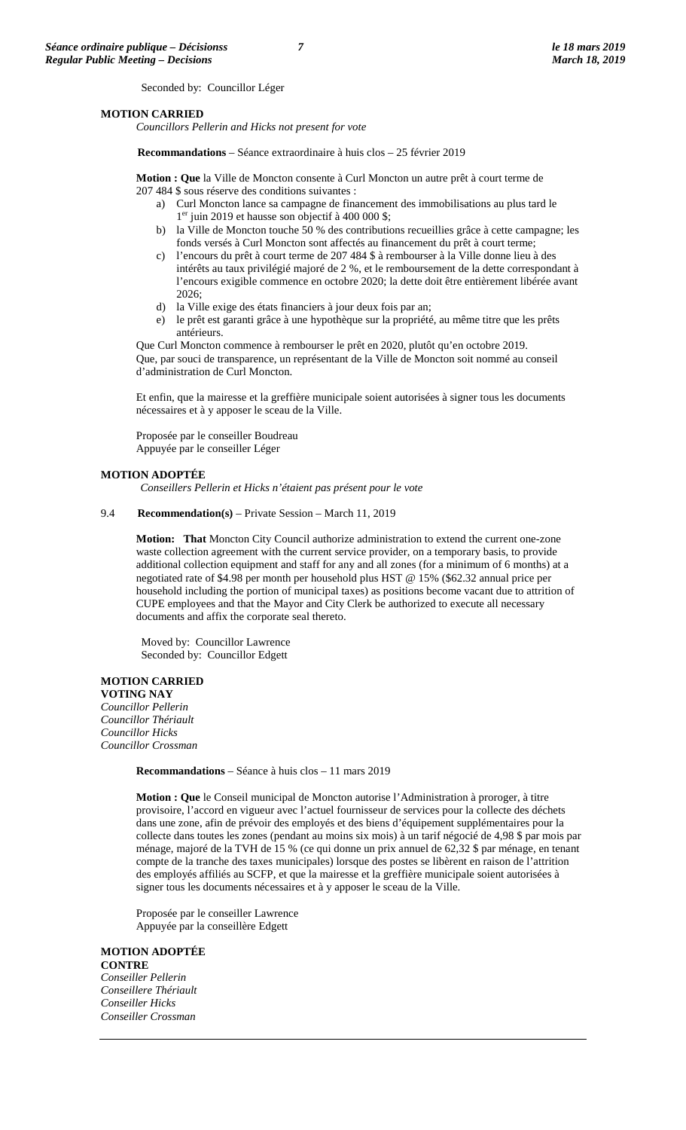Seconded by: Councillor Léger

#### **MOTION CARRIED**

*Councillors Pellerin and Hicks not present for vote*

 **Recommandations** – Séance extraordinaire à huis clos – 25 février 2019

**Motion : Que** la Ville de Moncton consente à Curl Moncton un autre prêt à court terme de 207 484 \$ sous réserve des conditions suivantes :

- a) Curl Moncton lance sa campagne de financement des immobilisations au plus tard le
	- 1<sup>er</sup> juin 2019 et hausse son objectif à 400 000 \$;
- b) la Ville de Moncton touche 50 % des contributions recueillies grâce à cette campagne; les fonds versés à Curl Moncton sont affectés au financement du prêt à court terme;
- c) l'encours du prêt à court terme de 207 484 \$ à rembourser à la Ville donne lieu à des intérêts au taux privilégié majoré de 2 %, et le remboursement de la dette correspondant à l'encours exigible commence en octobre 2020; la dette doit être entièrement libérée avant  $2026$
- d) la Ville exige des états financiers à jour deux fois par an;
- e) le prêt est garanti grâce à une hypothèque sur la propriété, au même titre que les prêts antérieurs.

Que Curl Moncton commence à rembourser le prêt en 2020, plutôt qu'en octobre 2019. Que, par souci de transparence, un représentant de la Ville de Moncton soit nommé au conseil d'administration de Curl Moncton.

Et enfin, que la mairesse et la greffière municipale soient autorisées à signer tous les documents nécessaires et à y apposer le sceau de la Ville.

Proposée par le conseiller Boudreau Appuyée par le conseiller Léger

#### **MOTION ADOPTÉE**

*Conseillers Pellerin et Hicks n'étaient pas présent pour le vote*

#### 9.4 **Recommendation(s)** – Private Session – March 11, 2019

**Motion: That** Moncton City Council authorize administration to extend the current one-zone waste collection agreement with the current service provider, on a temporary basis, to provide additional collection equipment and staff for any and all zones (for a minimum of 6 months) at a negotiated rate of \$4.98 per month per household plus HST @ 15% (\$62.32 annual price per household including the portion of municipal taxes) as positions become vacant due to attrition of CUPE employees and that the Mayor and City Clerk be authorized to execute all necessary documents and affix the corporate seal thereto.

Moved by: Councillor Lawrence Seconded by: Councillor Edgett

**MOTION CARRIED VOTING NAY** *Councillor Pellerin Councillor Thériault Councillor Hicks Councillor Crossman*

**Recommandations** – Séance à huis clos – 11 mars 2019

**Motion : Que** le Conseil municipal de Moncton autorise l'Administration à proroger, à titre provisoire, l'accord en vigueur avec l'actuel fournisseur de services pour la collecte des déchets dans une zone, afin de prévoir des employés et des biens d'équipement supplémentaires pour la collecte dans toutes les zones (pendant au moins six mois) à un tarif négocié de 4,98 \$ par mois par ménage, majoré de la TVH de 15 % (ce qui donne un prix annuel de 62,32 \$ par ménage, en tenant compte de la tranche des taxes municipales) lorsque des postes se libèrent en raison de l'attrition des employés affiliés au SCFP, et que la mairesse et la greffière municipale soient autorisées à signer tous les documents nécessaires et à y apposer le sceau de la Ville.

Proposée par le conseiller Lawrence Appuyée par la conseillère Edgett

#### **MOTION ADOPTÉE CONTRE** *Conseiller Pellerin*

*Conseillere Thériault Conseiller Hicks Conseiller Crossman*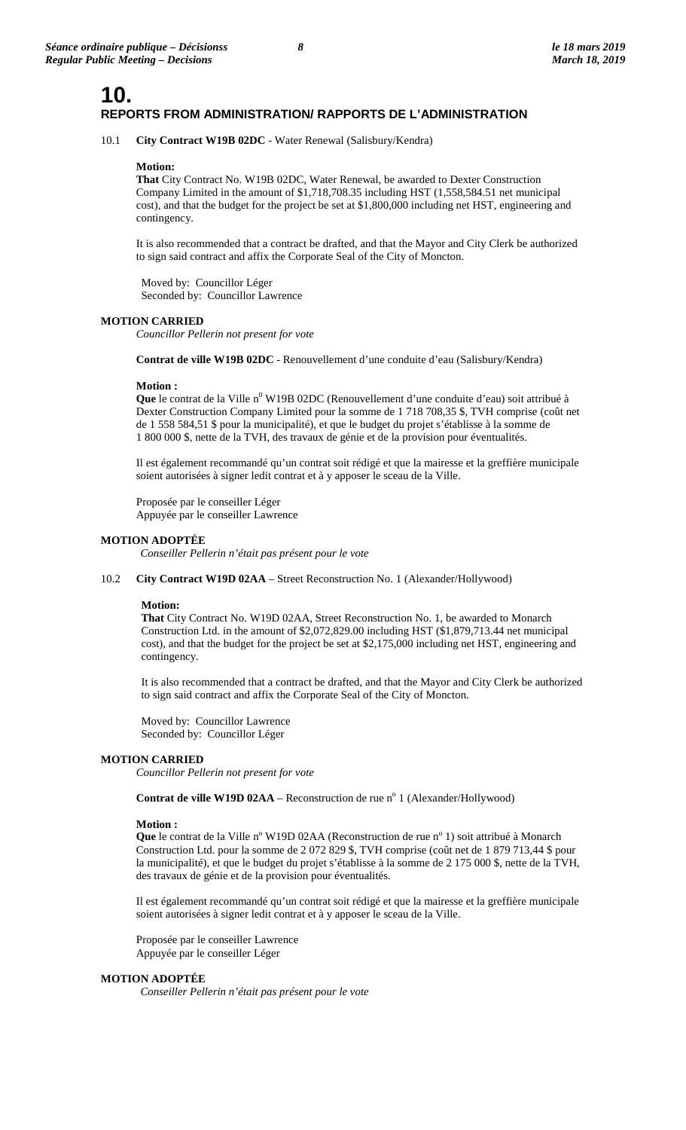# **10. REPORTS FROM ADMINISTRATION/ RAPPORTS DE L'ADMINISTRATION**

## 10.1 **City Contract W19B 02DC** - Water Renewal (Salisbury/Kendra)

#### **Motion:**

**That** City Contract No. W19B 02DC, Water Renewal, be awarded to Dexter Construction Company Limited in the amount of \$1,718,708.35 including HST (1,558,584.51 net municipal cost), and that the budget for the project be set at \$1,800,000 including net HST, engineering and contingency.

It is also recommended that a contract be drafted, and that the Mayor and City Clerk be authorized to sign said contract and affix the Corporate Seal of the City of Moncton.

Moved by: Councillor Léger Seconded by: Councillor Lawrence

# **MOTION CARRIED**

*Councillor Pellerin not present for vote*

 **Contrat de ville W19B 02DC** - Renouvellement d'une conduite d'eau (Salisbury/Kendra)

#### **Motion :**

Que le contrat de la Ville n<sup>0</sup> W19B 02DC (Renouvellement d'une conduite d'eau) soit attribué à Dexter Construction Company Limited pour la somme de 1 718 708,35 \$, TVH comprise (coût net de 1 558 584,51 \$ pour la municipalité), et que le budget du projet s'établisse à la somme de 1 800 000 \$, nette de la TVH, des travaux de génie et de la provision pour éventualités.

Il est également recommandé qu'un contrat soit rédigé et que la mairesse et la greffière municipale soient autorisées à signer ledit contrat et à y apposer le sceau de la Ville.

Proposée par le conseiller Léger Appuyée par le conseiller Lawrence

#### **MOTION ADOPTÉE**

*Conseiller Pellerin n'était pas présent pour le vote*

10.2 **City Contract W19D 02AA** – Street Reconstruction No. 1 (Alexander/Hollywood)

#### **Motion:**

**That** City Contract No. W19D 02AA, Street Reconstruction No. 1, be awarded to Monarch Construction Ltd. in the amount of \$2,072,829.00 including HST (\$1,879,713.44 net municipal cost), and that the budget for the project be set at \$2,175,000 including net HST, engineering and contingency.

It is also recommended that a contract be drafted, and that the Mayor and City Clerk be authorized to sign said contract and affix the Corporate Seal of the City of Moncton.

Moved by: Councillor Lawrence Seconded by: Councillor Léger

#### **MOTION CARRIED**

*Councillor Pellerin not present for vote*

**Contrat de ville W19D 02AA** – Reconstruction de rue  $n^{\circ}$  1 (Alexander/Hollywood)

#### **Motion :**

Que le contrat de la Ville n<sup>o</sup> W19D 02AA (Reconstruction de rue n<sup>o</sup> 1) soit attribué à Monarch Construction Ltd. pour la somme de 2 072 829 \$, TVH comprise (coût net de 1 879 713,44 \$ pour la municipalité), et que le budget du projet s'établisse à la somme de 2 175 000 \$, nette de la TVH, des travaux de génie et de la provision pour éventualités.

Il est également recommandé qu'un contrat soit rédigé et que la mairesse et la greffière municipale soient autorisées à signer ledit contrat et à y apposer le sceau de la Ville.

Proposée par le conseiller Lawrence Appuyée par le conseiller Léger

#### **MOTION ADOPTÉE**

*Conseiller Pellerin n'était pas présent pour le vote*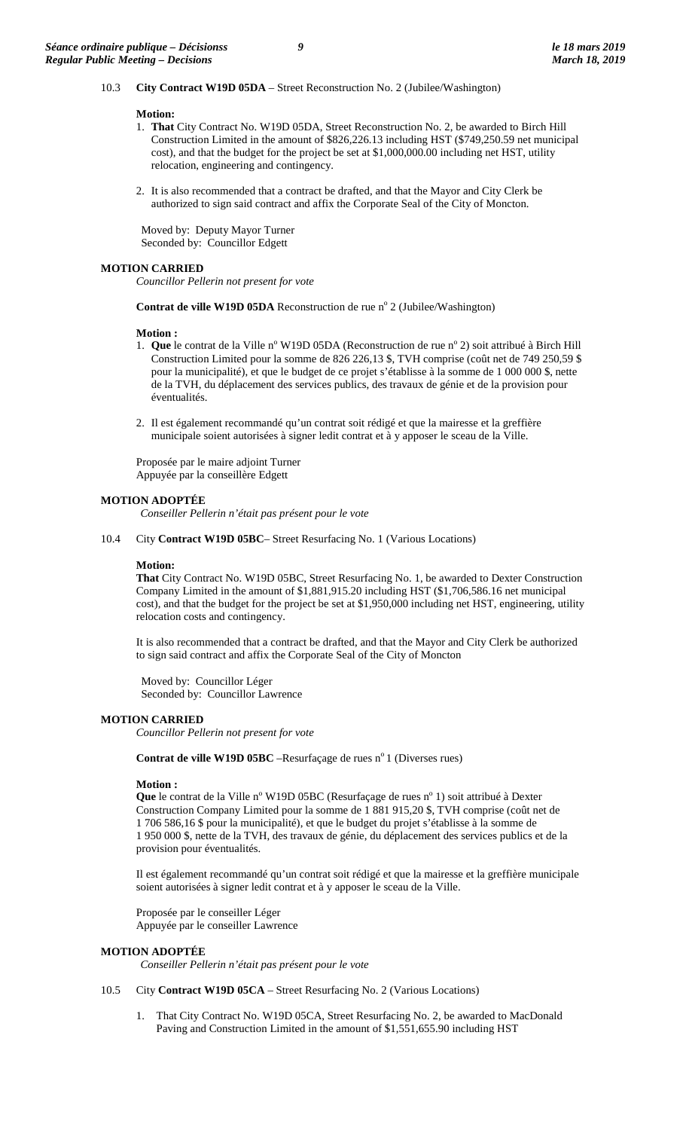#### 10.3 **City Contract W19D 05DA** – Street Reconstruction No. 2 (Jubilee/Washington)

#### **Motion:**

- 1. **That** City Contract No. W19D 05DA, Street Reconstruction No. 2, be awarded to Birch Hill Construction Limited in the amount of \$826,226.13 including HST (\$749,250.59 net municipal cost), and that the budget for the project be set at \$1,000,000.00 including net HST, utility relocation, engineering and contingency.
- 2. It is also recommended that a contract be drafted, and that the Mayor and City Clerk be authorized to sign said contract and affix the Corporate Seal of the City of Moncton.

Moved by: Deputy Mayor Turner Seconded by: Councillor Edgett

## **MOTION CARRIED**

*Councillor Pellerin not present for vote*

**Contrat de ville W19D 05DA** Reconstruction de rue  $n^{\circ}$  2 (Jubilee/Washington)

#### **Motion :**

- 1. **Que** le contrat de la Ville n<sup>o</sup> W19D 05DA (Reconstruction de rue n<sup>o</sup> 2) soit attribué à Birch Hill Construction Limited pour la somme de 826 226,13 \$, TVH comprise (coût net de 749 250,59 \$ pour la municipalité), et que le budget de ce projet s'établisse à la somme de 1 000 000 \$, nette de la TVH, du déplacement des services publics, des travaux de génie et de la provision pour éventualités.
- 2. Il est également recommandé qu'un contrat soit rédigé et que la mairesse et la greffière municipale soient autorisées à signer ledit contrat et à y apposer le sceau de la Ville.

Proposée par le maire adjoint Turner Appuyée par la conseillère Edgett

#### **MOTION ADOPTÉE**

*Conseiller Pellerin n'était pas présent pour le vote*

10.4 City **Contract W19D 05BC**– Street Resurfacing No. 1 (Various Locations)

#### **Motion:**

**That** City Contract No. W19D 05BC, Street Resurfacing No. 1, be awarded to Dexter Construction Company Limited in the amount of \$1,881,915.20 including HST (\$1,706,586.16 net municipal cost), and that the budget for the project be set at \$1,950,000 including net HST, engineering, utility relocation costs and contingency.

It is also recommended that a contract be drafted, and that the Mayor and City Clerk be authorized to sign said contract and affix the Corporate Seal of the City of Moncton

Moved by: Councillor Léger Seconded by: Councillor Lawrence

#### **MOTION CARRIED**

*Councillor Pellerin not present for vote*

**Contrat de ville W19D 05BC** –Resurfaçage de rues nº 1 (Diverses rues)

#### **Motion :**

Que le contrat de la Ville n<sup>o</sup> W19D 05BC (Resurfaçage de rues n<sup>o</sup> 1) soit attribué à Dexter Construction Company Limited pour la somme de 1 881 915,20 \$, TVH comprise (coût net de 1 706 586,16 \$ pour la municipalité), et que le budget du projet s'établisse à la somme de 1 950 000 \$, nette de la TVH, des travaux de génie, du déplacement des services publics et de la provision pour éventualités.

Il est également recommandé qu'un contrat soit rédigé et que la mairesse et la greffière municipale soient autorisées à signer ledit contrat et à y apposer le sceau de la Ville.

Proposée par le conseiller Léger Appuyée par le conseiller Lawrence

#### **MOTION ADOPTÉE**

*Conseiller Pellerin n'était pas présent pour le vote*

## 10.5 City **Contract W19D 05CA** – Street Resurfacing No. 2 (Various Locations)

1. That City Contract No. W19D 05CA, Street Resurfacing No. 2, be awarded to MacDonald Paving and Construction Limited in the amount of \$1,551,655.90 including HST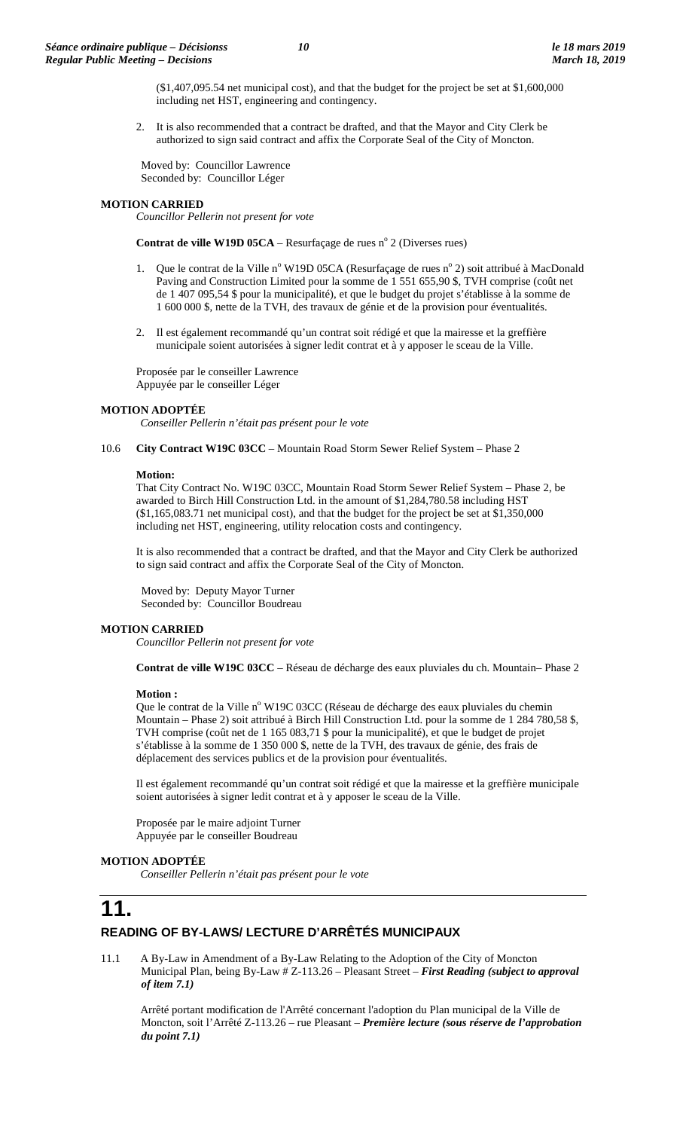(\$1,407,095.54 net municipal cost), and that the budget for the project be set at \$1,600,000 including net HST, engineering and contingency.

2. It is also recommended that a contract be drafted, and that the Mayor and City Clerk be authorized to sign said contract and affix the Corporate Seal of the City of Moncton.

Moved by: Councillor Lawrence Seconded by: Councillor Léger

## **MOTION CARRIED**

*Councillor Pellerin not present for vote*

**Contrat de ville W19D 05CA** – Resurfaçage de rues  $n^{\circ}$  2 (Diverses rues)

- 1. Que le contrat de la Ville n° W19D 05CA (Resurfaçage de rues n° 2) soit attribué à MacDonald Paving and Construction Limited pour la somme de 1 551 655,90 \$, TVH comprise (coût net de 1 407 095,54 \$ pour la municipalité), et que le budget du projet s'établisse à la somme de 1 600 000 \$, nette de la TVH, des travaux de génie et de la provision pour éventualités.
- 2. Il est également recommandé qu'un contrat soit rédigé et que la mairesse et la greffière municipale soient autorisées à signer ledit contrat et à y apposer le sceau de la Ville.

Proposée par le conseiller Lawrence Appuyée par le conseiller Léger

# **MOTION ADOPTÉE**

*Conseiller Pellerin n'était pas présent pour le vote*

10.6 **City Contract W19C 03CC** – Mountain Road Storm Sewer Relief System – Phase 2

#### **Motion:**

That City Contract No. W19C 03CC, Mountain Road Storm Sewer Relief System – Phase 2, be awarded to Birch Hill Construction Ltd. in the amount of \$1,284,780.58 including HST (\$1,165,083.71 net municipal cost), and that the budget for the project be set at \$1,350,000 including net HST, engineering, utility relocation costs and contingency.

It is also recommended that a contract be drafted, and that the Mayor and City Clerk be authorized to sign said contract and affix the Corporate Seal of the City of Moncton.

Moved by: Deputy Mayor Turner Seconded by: Councillor Boudreau

## **MOTION CARRIED**

*Councillor Pellerin not present for vote*

**Contrat de ville W19C 03CC** – Réseau de décharge des eaux pluviales du ch. Mountain– Phase 2

#### **Motion :**

Que le contrat de la Ville nº W19C 03CC (Réseau de décharge des eaux pluviales du chemin Mountain – Phase 2) soit attribué à Birch Hill Construction Ltd. pour la somme de 1 284 780,58 \$, TVH comprise (coût net de 1 165 083,71 \$ pour la municipalité), et que le budget de projet s'établisse à la somme de 1 350 000 \$, nette de la TVH, des travaux de génie, des frais de déplacement des services publics et de la provision pour éventualités.

Il est également recommandé qu'un contrat soit rédigé et que la mairesse et la greffière municipale soient autorisées à signer ledit contrat et à y apposer le sceau de la Ville.

Proposée par le maire adjoint Turner Appuyée par le conseiller Boudreau

# **MOTION ADOPTÉE**

*Conseiller Pellerin n'était pas présent pour le vote*

# **11.**

# **READING OF BY-LAWS/ LECTURE D'ARRÊTÉS MUNICIPAUX**

11.1 A By-Law in Amendment of a By-Law Relating to the Adoption of the City of Moncton Municipal Plan, being By-Law # Z-113.26 – Pleasant Street – *First Reading (subject to approval of item 7.1)*

Arrêté portant modification de l'Arrêté concernant l'adoption du Plan municipal de la Ville de Moncton, soit l'Arrêté Z-113.26 – rue Pleasant – *Première lecture (sous réserve de l'approbation du point 7.1)*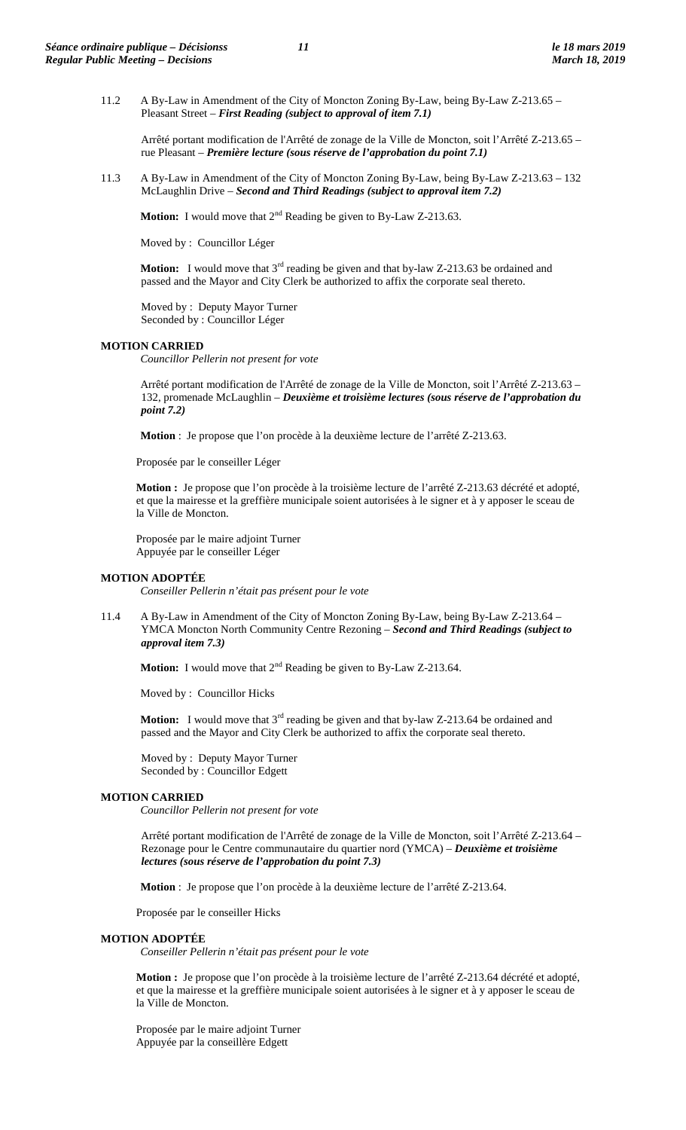11.2 A By-Law in Amendment of the City of Moncton Zoning By-Law, being By-Law Z-213.65 – Pleasant Street – *First Reading (subject to approval of item 7.1)*

Arrêté portant modification de l'Arrêté de zonage de la Ville de Moncton, soit l'Arrêté Z-213.65 – rue Pleasant – *Première lecture (sous réserve de l'approbation du point 7.1)*

11.3 A By-Law in Amendment of the City of Moncton Zoning By-Law, being By-Law Z-213.63 – 132 McLaughlin Drive – *Second and Third Readings (subject to approval item 7.2)*

**Motion:** I would move that 2<sup>nd</sup> Reading be given to By-Law Z-213.63.

Moved by : Councillor Léger

**Motion:** I would move that 3<sup>rd</sup> reading be given and that by-law Z-213.63 be ordained and passed and the Mayor and City Clerk be authorized to affix the corporate seal thereto.

Moved by : Deputy Mayor Turner Seconded by : Councillor Léger

## **MOTION CARRIED**

*Councillor Pellerin not present for vote*

Arrêté portant modification de l'Arrêté de zonage de la Ville de Moncton, soit l'Arrêté Z-213.63 – 132, promenade McLaughlin – *Deuxième et troisième lectures (sous réserve de l'approbation du point 7.2)*

**Motion** : Je propose que l'on procède à la deuxième lecture de l'arrêté Z-213.63.

Proposée par le conseiller Léger

**Motion :** Je propose que l'on procède à la troisième lecture de l'arrêté Z-213.63 décrété et adopté, et que la mairesse et la greffière municipale soient autorisées à le signer et à y apposer le sceau de la Ville de Moncton.

Proposée par le maire adjoint Turner Appuyée par le conseiller Léger

# **MOTION ADOPTÉE**

*Conseiller Pellerin n'était pas présent pour le vote*

11.4 A By-Law in Amendment of the City of Moncton Zoning By-Law, being By-Law Z-213.64 – YMCA Moncton North Community Centre Rezoning – *Second and Third Readings (subject to approval item 7.3)*

**Motion:** I would move that 2<sup>nd</sup> Reading be given to By-Law Z-213.64.

Moved by : Councillor Hicks

**Motion:** I would move that 3<sup>rd</sup> reading be given and that by-law Z-213.64 be ordained and passed and the Mayor and City Clerk be authorized to affix the corporate seal thereto.

Moved by : Deputy Mayor Turner Seconded by : Councillor Edgett

#### **MOTION CARRIED**

*Councillor Pellerin not present for vote*

Arrêté portant modification de l'Arrêté de zonage de la Ville de Moncton, soit l'Arrêté Z-213.64 – Rezonage pour le Centre communautaire du quartier nord (YMCA) – *Deuxième et troisième lectures (sous réserve de l'approbation du point 7.3)*

**Motion** : Je propose que l'on procède à la deuxième lecture de l'arrêté Z-213.64.

Proposée par le conseiller Hicks

#### **MOTION ADOPTÉE**

*Conseiller Pellerin n'était pas présent pour le vote*

**Motion :** Je propose que l'on procède à la troisième lecture de l'arrêté Z-213.64 décrété et adopté, et que la mairesse et la greffière municipale soient autorisées à le signer et à y apposer le sceau de la Ville de Moncton.

Proposée par le maire adjoint Turner Appuyée par la conseillère Edgett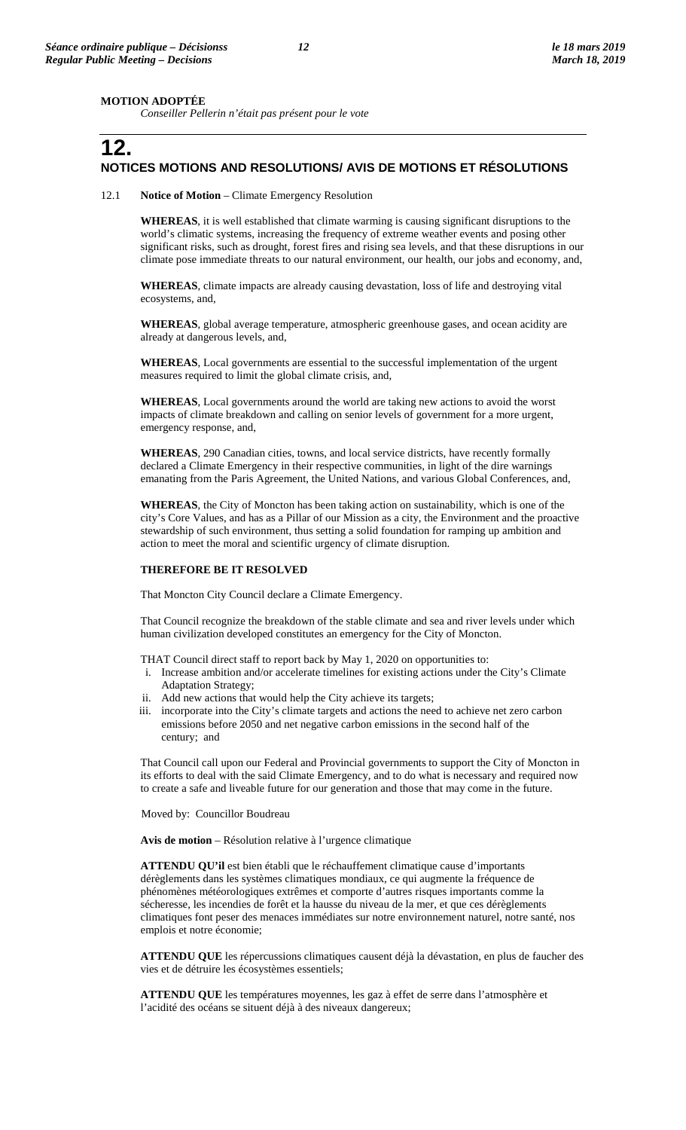*Conseiller Pellerin n'était pas présent pour le vote*

# **12. NOTICES MOTIONS AND RESOLUTIONS/ AVIS DE MOTIONS ET RÉSOLUTIONS**

12.1 **Notice of Motion** – Climate Emergency Resolution

**WHEREAS**, it is well established that climate warming is causing significant disruptions to the world's climatic systems, increasing the frequency of extreme weather events and posing other significant risks, such as drought, forest fires and rising sea levels, and that these disruptions in our climate pose immediate threats to our natural environment, our health, our jobs and economy, and,

**WHEREAS**, climate impacts are already causing devastation, loss of life and destroying vital ecosystems, and,

**WHEREAS**, global average temperature, atmospheric greenhouse gases, and ocean acidity are already at dangerous levels, and,

**WHEREAS**, Local governments are essential to the successful implementation of the urgent measures required to limit the global climate crisis, and,

**WHEREAS**, Local governments around the world are taking new actions to avoid the worst impacts of climate breakdown and calling on senior levels of government for a more urgent, emergency response, and,

**WHEREAS**, 290 Canadian cities, towns, and local service districts, have recently formally declared a Climate Emergency in their respective communities, in light of the dire warnings emanating from the Paris Agreement, the United Nations, and various Global Conferences, and,

**WHEREAS**, the City of Moncton has been taking action on sustainability, which is one of the city's Core Values, and has as a Pillar of our Mission as a city, the Environment and the proactive stewardship of such environment, thus setting a solid foundation for ramping up ambition and action to meet the moral and scientific urgency of climate disruption.

## **THEREFORE BE IT RESOLVED**

That Moncton City Council declare a Climate Emergency.

That Council recognize the breakdown of the stable climate and sea and river levels under which human civilization developed constitutes an emergency for the City of Moncton.

THAT Council direct staff to report back by May 1, 2020 on opportunities to:

- i. Increase ambition and/or accelerate timelines for existing actions under the City's Climate Adaptation Strategy;
- ii. Add new actions that would help the City achieve its targets;
- iii. incorporate into the City's climate targets and actions the need to achieve net zero carbon emissions before 2050 and net negative carbon emissions in the second half of the century; and

That Council call upon our Federal and Provincial governments to support the City of Moncton in its efforts to deal with the said Climate Emergency, and to do what is necessary and required now to create a safe and liveable future for our generation and those that may come in the future.

Moved by: Councillor Boudreau

**Avis de motion** – Résolution relative à l'urgence climatique

**ATTENDU QU'il** est bien établi que le réchauffement climatique cause d'importants dérèglements dans les systèmes climatiques mondiaux, ce qui augmente la fréquence de phénomènes météorologiques extrêmes et comporte d'autres risques importants comme la sécheresse, les incendies de forêt et la hausse du niveau de la mer, et que ces dérèglements climatiques font peser des menaces immédiates sur notre environnement naturel, notre santé, nos emplois et notre économie;

**ATTENDU QUE** les répercussions climatiques causent déjà la dévastation, en plus de faucher des vies et de détruire les écosystèmes essentiels;

**ATTENDU QUE** les températures moyennes, les gaz à effet de serre dans l'atmosphère et l'acidité des océans se situent déjà à des niveaux dangereux;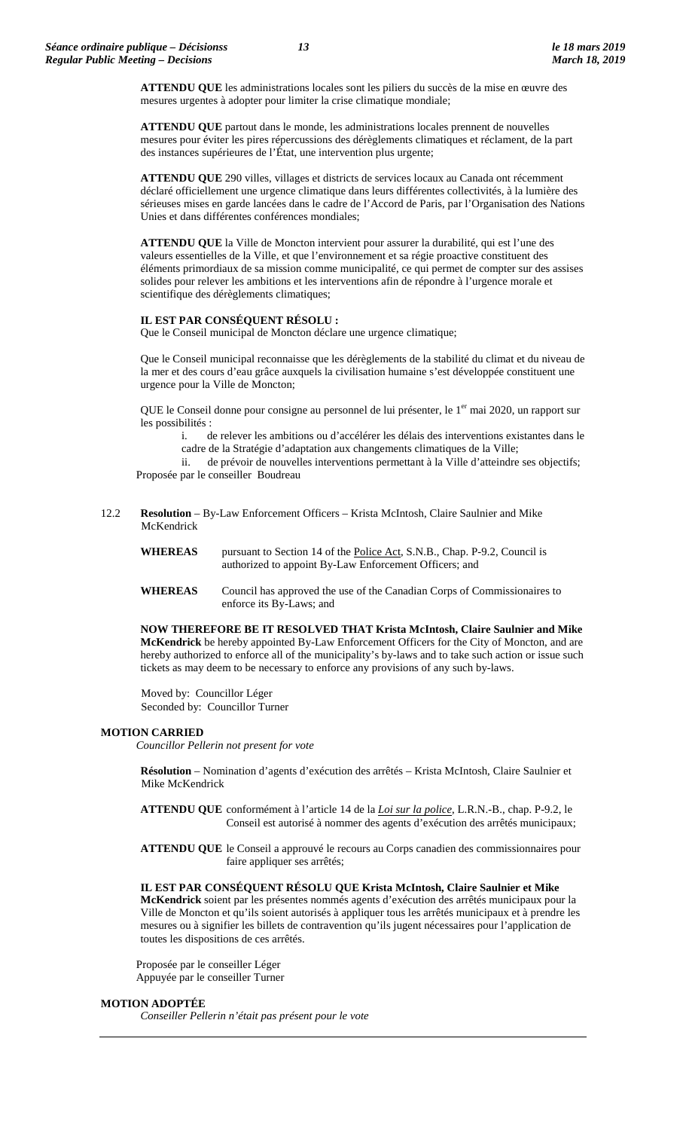**ATTENDU QUE** les administrations locales sont les piliers du succès de la mise en œuvre des mesures urgentes à adopter pour limiter la crise climatique mondiale;

**ATTENDU QUE** partout dans le monde, les administrations locales prennent de nouvelles mesures pour éviter les pires répercussions des dérèglements climatiques et réclament, de la part des instances supérieures de l'État, une intervention plus urgente;

**ATTENDU QUE** 290 villes, villages et districts de services locaux au Canada ont récemment déclaré officiellement une urgence climatique dans leurs différentes collectivités, à la lumière des sérieuses mises en garde lancées dans le cadre de l'Accord de Paris, par l'Organisation des Nations Unies et dans différentes conférences mondiales;

**ATTENDU QUE** la Ville de Moncton intervient pour assurer la durabilité, qui est l'une des valeurs essentielles de la Ville, et que l'environnement et sa régie proactive constituent des éléments primordiaux de sa mission comme municipalité, ce qui permet de compter sur des assises solides pour relever les ambitions et les interventions afin de répondre à l'urgence morale et scientifique des dérèglements climatiques;

#### **IL EST PAR CONSÉQUENT RÉSOLU :**

Que le Conseil municipal de Moncton déclare une urgence climatique;

Que le Conseil municipal reconnaisse que les dérèglements de la stabilité du climat et du niveau de la mer et des cours d'eau grâce auxquels la civilisation humaine s'est développée constituent une urgence pour la Ville de Moncton;

QUE le Conseil donne pour consigne au personnel de lui présenter, le 1<sup>er</sup> mai 2020, un rapport sur les possibilités :

i. de relever les ambitions ou d'accélérer les délais des interventions existantes dans le cadre de la Stratégie d'adaptation aux changements climatiques de la Ville;

ii. de prévoir de nouvelles interventions permettant à la Ville d'atteindre ses objectifs; Proposée par le conseiller Boudreau

- 12.2 **Resolution** By-Law Enforcement Officers Krista McIntosh, Claire Saulnier and Mike McKendrick
	- WHEREAS pursuant to Section 14 of the **Police Act**, S.N.B., Chap. P-9.2, Council is authorized to appoint By-Law Enforcement Officers; and
	- **WHEREAS** Council has approved the use of the Canadian Corps of Commissionaires to enforce its By-Laws; and

**NOW THEREFORE BE IT RESOLVED THAT Krista McIntosh, Claire Saulnier and Mike McKendrick** be hereby appointed By-Law Enforcement Officers for the City of Moncton, and are hereby authorized to enforce all of the municipality's by-laws and to take such action or issue such tickets as may deem to be necessary to enforce any provisions of any such by-laws.

Moved by: Councillor Léger Seconded by: Councillor Turner

## **MOTION CARRIED**

*Councillor Pellerin not present for vote*

**Résolution** – Nomination d'agents d'exécution des arrêtés – Krista McIntosh, Claire Saulnier et Mike McKendrick

**ATTENDU QUE** conformément à l'article 14 de la *Loi sur la police*, L.R.N.-B., chap. P-9.2, le Conseil est autorisé à nommer des agents d'exécution des arrêtés municipaux;

**ATTENDU QUE** le Conseil a approuvé le recours au Corps canadien des commissionnaires pour faire appliquer ses arrêtés;

**IL EST PAR CONSÉQUENT RÉSOLU QUE Krista McIntosh, Claire Saulnier et Mike McKendrick** soient par les présentes nommés agents d'exécution des arrêtés municipaux pour la Ville de Moncton et qu'ils soient autorisés à appliquer tous les arrêtés municipaux et à prendre les mesures ou à signifier les billets de contravention qu'ils jugent nécessaires pour l'application de toutes les dispositions de ces arrêtés.

Proposée par le conseiller Léger Appuyée par le conseiller Turner

## **MOTION ADOPTÉE**

*Conseiller Pellerin n'était pas présent pour le vote*